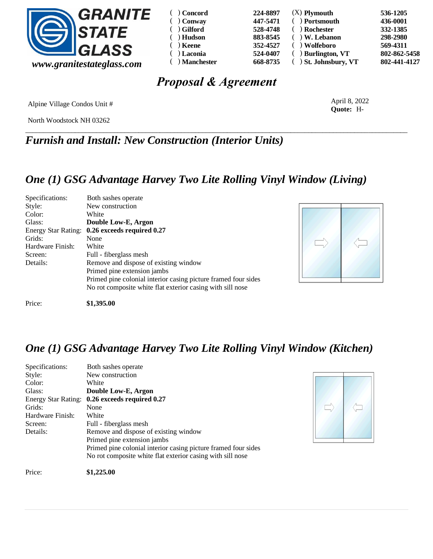

| Concord      | 224-8897 | $(X)$ Plymouth          | 536-1205     |
|--------------|----------|-------------------------|--------------|
| Conway       | 447-5471 | ( ) Portsmouth          | 436-0001     |
| ) Gilford    | 528-4748 | ) Rochester             | 332-1385     |
| Hudson       | 883-8545 | $( )$ W. Lebanon        | 298-2980     |
| ) Keene      | 352-4527 | $($ ) Wolfeboro         | 569-4311     |
| ) Laconia    | 524-0407 | $( )$ Burlington, VT    | 802-862-5458 |
| ) Manchester | 668-8735 | $( )$ St. Johnsbury, VT | 802-441-4127 |

# *Proposal & Agreement*

Alpine Village Condos Unit #

North Woodstock NH 03262

\_\_\_\_\_\_\_\_\_\_\_\_\_\_\_\_\_\_\_\_\_\_\_\_\_\_\_\_\_\_\_\_\_\_\_\_\_\_\_\_\_\_\_\_\_\_\_\_\_\_\_\_\_\_\_\_\_\_\_\_\_\_\_\_\_\_\_\_\_\_\_\_\_\_\_\_\_\_\_\_\_\_\_\_\_\_\_\_\_\_\_\_\_\_\_\_\_\_\_\_\_\_\_\_\_\_\_\_ *Furnish and Install: New Construction (Interior Units)*

( ) ( ) ( ) ( ) ( ) ( ) ( )

### *One (1) GSG Advantage Harvey Two Lite Rolling Vinyl Window (Living)*

| Specifications:            | Both sashes operate                                            |
|----------------------------|----------------------------------------------------------------|
| Style:                     | New construction                                               |
| Color:                     | White                                                          |
| Glass:                     | Double Low-E, Argon                                            |
| <b>Energy Star Rating:</b> | 0.26 exceeds required 0.27                                     |
| Grids:                     | None                                                           |
| Hardware Finish:           | White                                                          |
| Screen:                    | Full - fiberglass mesh                                         |
| Details:                   | Remove and dispose of existing window                          |
|                            | Primed pine extension jambs                                    |
|                            | Primed pine colonial interior casing picture framed four sides |
|                            | No rot composite white flat exterior casing with sill nose     |
| Price:                     | \$1,395.00                                                     |



April 8, 2022 **Quote:** H-

*One (1) GSG Advantage Harvey Two Lite Rolling Vinyl Window (Kitchen)*

| Specifications:  | Both sashes operate                                            |  |
|------------------|----------------------------------------------------------------|--|
| Style:           | New construction                                               |  |
| Color:           | White                                                          |  |
| Glass:           | Double Low-E, Argon                                            |  |
|                  | Energy Star Rating: 0.26 exceeds required 0.27                 |  |
| Grids:           | None                                                           |  |
| Hardware Finish: | White                                                          |  |
| Screen:          | Full - fiberglass mesh                                         |  |
| Details:         | Remove and dispose of existing window                          |  |
|                  | Primed pine extension jambs                                    |  |
|                  | Primed pine colonial interior casing picture framed four sides |  |
|                  | No rot composite white flat exterior casing with sill nose     |  |
| Price:           | \$1,225.00                                                     |  |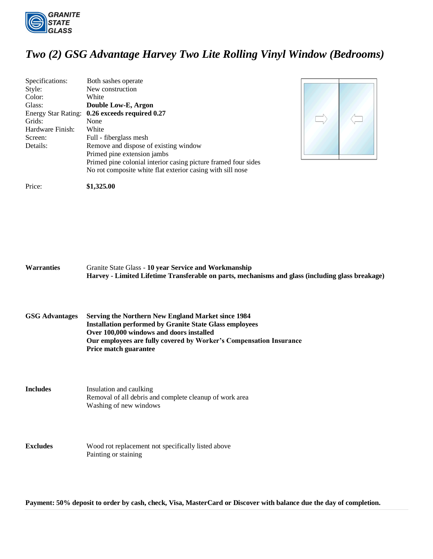

## *Two (2) GSG Advantage Harvey Two Lite Rolling Vinyl Window (Bedrooms)*

| Specifications:            | Both sashes operate                                            |
|----------------------------|----------------------------------------------------------------|
| Style:                     | New construction                                               |
| Color:                     | White                                                          |
| Glass:                     | Double Low-E, Argon                                            |
| <b>Energy Star Rating:</b> | 0.26 exceeds required 0.27                                     |
| Grids:                     | None                                                           |
| Hardware Finish:           | White                                                          |
| Screen:                    | Full - fiberglass mesh                                         |
| Details:                   | Remove and dispose of existing window                          |
|                            | Primed pine extension jambs                                    |
|                            | Primed pine colonial interior casing picture framed four sides |
|                            | No rot composite white flat exterior casing with sill nose     |



Price: **\$1,325.00** 

**Warranties** Granite State Glass - **10 year Service and Workmanship Harvey - Limited Lifetime Transferable on parts, mechanisms and glass (including glass breakage)**

**GSG Advantages Serving the Northern New England Market since 1984 Installation performed by Granite State Glass employees Over 100,000 windows and doors installed Our employees are fully covered by Worker's Compensation Insurance Price match guarantee**

**Includes** Insulation and caulking Removal of all debris and complete cleanup of work area Washing of new windows

**Excludes** Wood rot replacement not specifically listed above Painting or staining

**Payment: 50% deposit to order by cash, check, Visa, MasterCard or Discover with balance due the day of completion.**